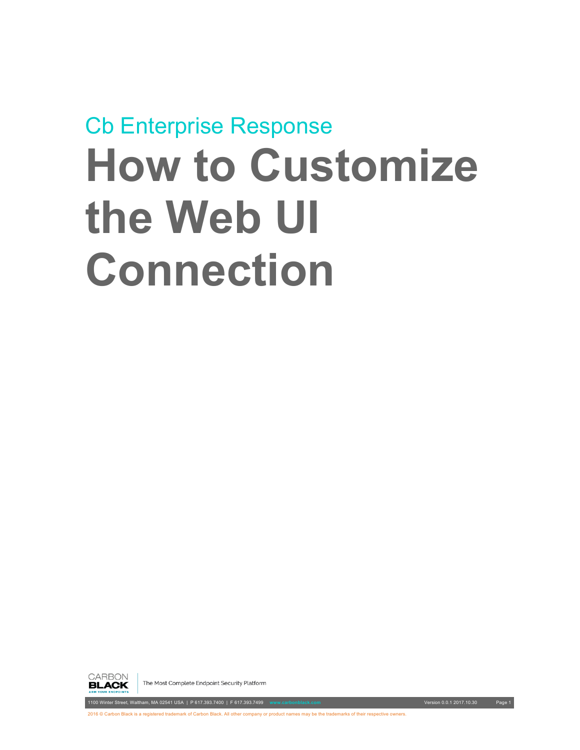

The Most Complete Endpoint Security Platform

1100 Winter Street, Waltham, MA 02541 USA | P 617.393.7400 | F 617.393.7499 **www.carbonblack.com** Version 0.0.1 2017.10.30 Page 1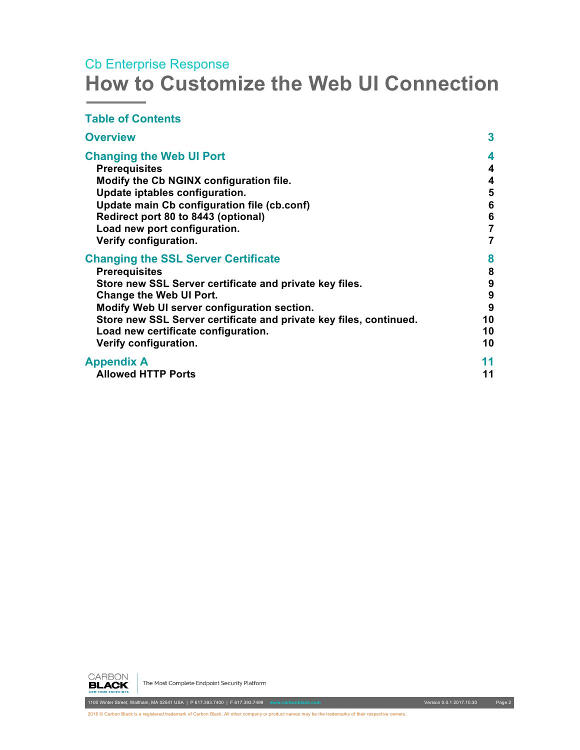#### **Table of Contents**

| <b>Overview</b>                                                    | 3                |
|--------------------------------------------------------------------|------------------|
| <b>Changing the Web UI Port</b><br><b>Prerequisites</b>            | 4<br>4           |
| Modify the Cb NGINX configuration file.                            | 4                |
| Update iptables configuration.                                     | 5                |
| Update main Cb configuration file (cb.conf)                        | $\bf 6$          |
| Redirect port 80 to 8443 (optional)                                | $6\phantom{1}6$  |
| Load new port configuration.                                       | $\overline{7}$   |
| Verify configuration.                                              | 7                |
| <b>Changing the SSL Server Certificate</b>                         | 8                |
| <b>Prerequisites</b>                                               | 8                |
| Store new SSL Server certificate and private key files.            | 9                |
| <b>Change the Web UI Port.</b>                                     | $\boldsymbol{9}$ |
| Modify Web UI server configuration section.                        | 9                |
| Store new SSL Server certificate and private key files, continued. | 10               |
| Load new certificate configuration.                                | 10               |
| Verify configuration.                                              | 10               |
| <b>Appendix A</b>                                                  | 11               |
| <b>Allowed HTTP Ports</b>                                          | 11               |



The Most Complete Endpoint Security Platform

1100 Winter Street, Waltham, MA 02541 USA | P 617.393.7400 | F 617.393.7499 **www.carbonblack.com** Version 0.0.1 2017.10.30 Page 2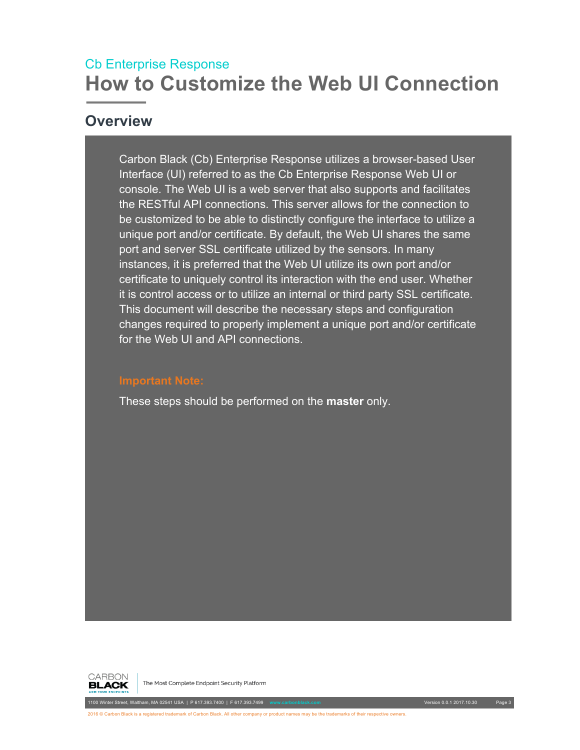#### <span id="page-2-0"></span>**Overview**

Carbon Black (Cb) Enterprise Response utilizes a browser-based User Interface (UI) referred to as the Cb Enterprise Response Web UI or console. The Web UI is a web server that also supports and facilitates the RESTful API connections. This server allows for the connection to be customized to be able to distinctly configure the interface to utilize a unique port and/or certificate. By default, the Web UI shares the same port and server SSL certificate utilized by the sensors. In many instances, it is preferred that the Web UI utilize its own port and/or certificate to uniquely control its interaction with the end user. Whether it is control access or to utilize an internal or third party SSL certificate. This document will describe the necessary steps and configuration changes required to properly implement a unique port and/or certificate for the Web UI and API connections.

These steps should be performed on the **master** only.



The Most Complete Endpoint Security Platform

1100 Winter Street, Waltham, MA 02541 USA | P 617.393.7400 | F 617.393.7499 **www.carbonblack.com** Version 0.0.1 2017.10.30 Page 3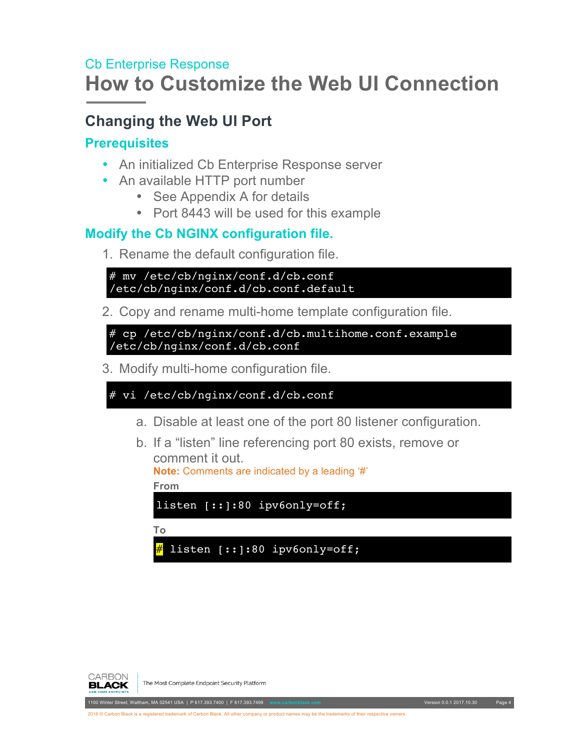# <span id="page-3-0"></span>**Changing the Web UI Port**

#### <span id="page-3-1"></span>**Prerequisites**

- An initialized Cb Enterprise Response server
- An available HTTP port number
	- See Appendix A for details
	- Port 8443 will be used for this example

#### <span id="page-3-2"></span>**Modify the Cb NGINX configuration file.**

1. Rename the default configuration file.

```
# mv /etc/cb/nginx/conf.d/cb.conf 
/etc/cb/nginx/conf.d/cb.conf.default
```
2. Copy and rename multi-home template configuration file.

# cp /etc/cb/nginx/conf.d/cb.multihome.conf.example /etc/cb/nginx/conf.d/cb.conf

3. Modify multi-home configuration file.

```
# vi /etc/cb/nginx/conf.d/cb.conf
```
- a. Disable at least one of the port 80 listener configuration.
- b. If a "listen" line referencing port 80 exists, remove or comment it out.

```
Note: Comments are indicated by a leading '#'
From
```
listen [::]:80 ipv6only=off;

**To**

listen [::]:80 ipv6only=off;



The Most Complete Endpoint Security Platform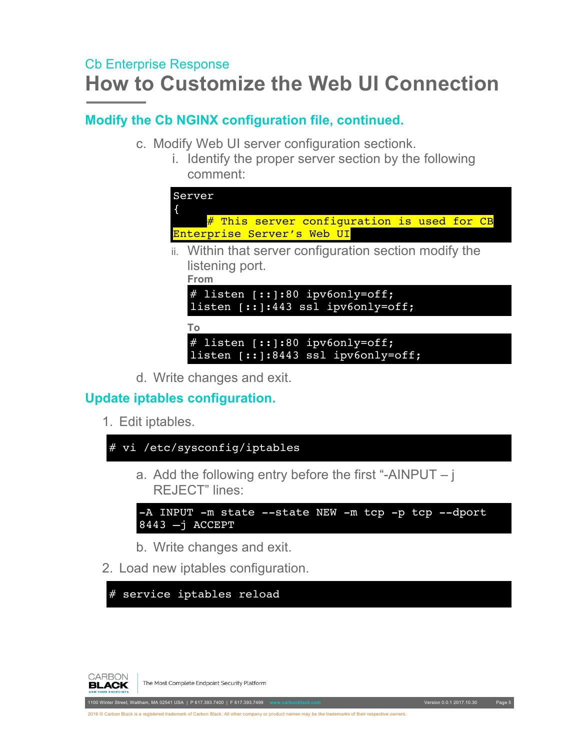#### **Modify the Cb NGINX configuration file, continued.**

- c. Modify Web UI server configuration sectionk.
	- i. Identify the proper server section by the following comment:

| Server<br># This server configuration is used for CB<br>Enterprise Server's Web UI |
|------------------------------------------------------------------------------------|
|                                                                                    |
| ii. Within that server configuration section modify the<br>listening port.         |
|                                                                                    |
| From                                                                               |
| # listen [:: ]:80 ipv6only=off;<br>listen $[:]:443$ ssl ipv6only=off;              |
| To                                                                                 |
| # listen $[::]:80$ ipv6only=off;<br>listen $[::]:8443$ ssl ipv6only=off;           |

d. Write changes and exit.

#### <span id="page-4-0"></span>**Update iptables configuration.**

1. Edit iptables.





The Most Complete Endpoint Security Platform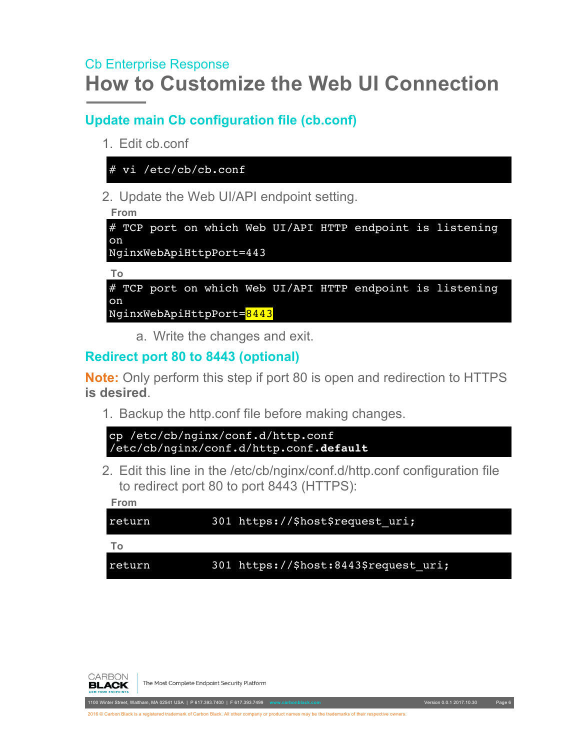#### <span id="page-5-0"></span>**Update main Cb configuration file (cb.conf)**

1. Edit cb.conf

# vi /etc/cb/cb.conf

2. Update the Web UI/API endpoint setting.

```
From
# TCP port on which Web UI/API HTTP endpoint is listening
on
NginxWebApiHttpPort=443
```
**To** # TCP port on which Web UI/API HTTP endpoint is listening on NginxWebApiHttpPort=8443

a. Write the changes and exit.

#### <span id="page-5-1"></span>**Redirect port 80 to 8443 (optional)**

**Note:** Only perform this step if port 80 is open and redirection to HTTPS **is desired**.

1. Backup the http.conf file before making changes.

```
cp /etc/cb/nginx/conf.d/http.conf 
/etc/cb/nginx/conf.d/http.conf.default
```
2. Edit this line in the /etc/cb/nginx/conf.d/http.conf configuration file to redirect port 80 to port 8443 (HTTPS):

**From**

return 301 https://\$host\$request uri;

**To**

```
return 301 https://$host:8443$request uri;
```


The Most Complete Endpoint Security Platform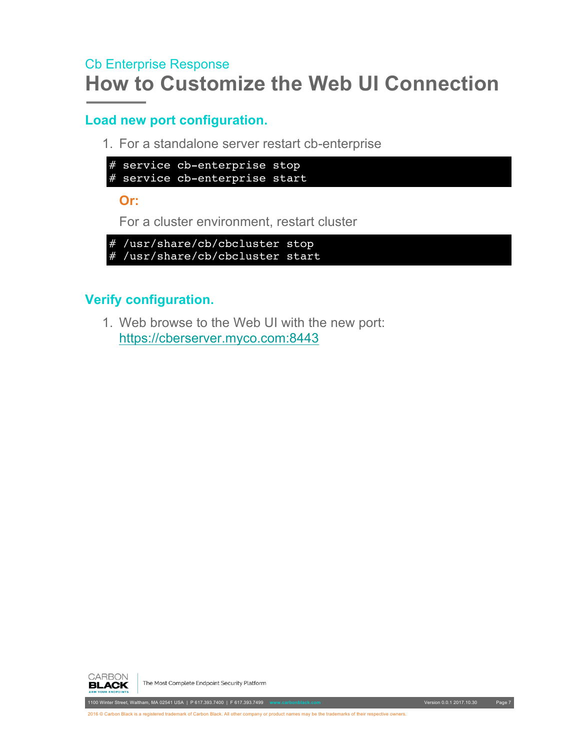#### <span id="page-6-0"></span>**Load new port configuration.**

1. For a standalone server restart cb-enterprise

```
# service cb-enterprise stop
# service cb-enterprise start
```
**Or:**

For a cluster environment, restart cluster

```
# /usr/share/cb/cbcluster stop
# /usr/share/cb/cbcluster start
```
#### <span id="page-6-1"></span>**Verify configuration.**

1. Web browse to the Web UI with the new port: https://cberserver.myco.com:8443



The Most Complete Endpoint Security Platform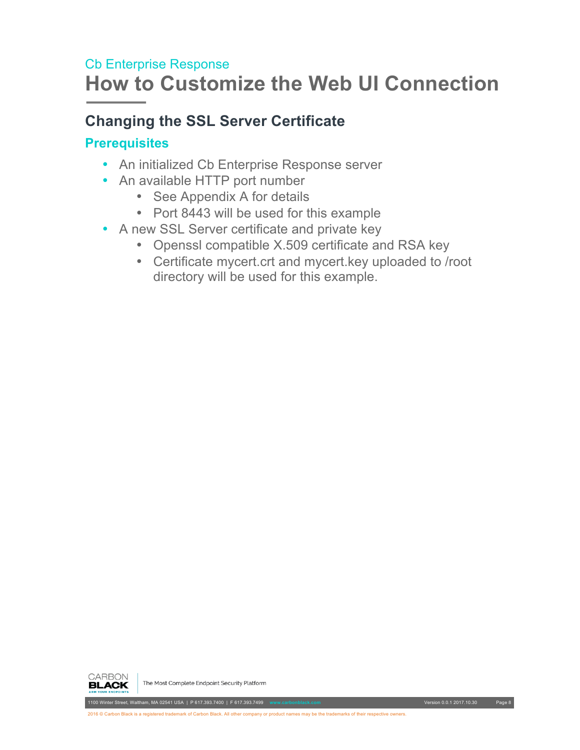# <span id="page-7-0"></span>**Changing the SSL Server Certificate**

#### <span id="page-7-1"></span>**Prerequisites**

- An initialized Cb Enterprise Response server
- An available HTTP port number
	- See Appendix A for details
	- Port 8443 will be used for this example
- A new SSL Server certificate and private key
	- Openssl compatible X.509 certificate and RSA key
	- Certificate mycert.crt and mycert.key uploaded to /root directory will be used for this example.

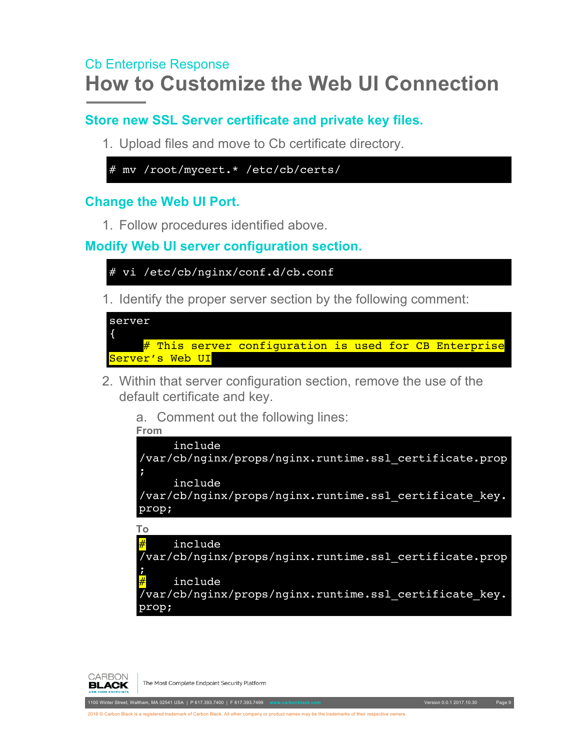#### <span id="page-8-0"></span>**Store new SSL Server certificate and private key files.**

1. Upload files and move to Cb certificate directory.

```
# mv /root/mycert.* /etc/cb/certs/
```
#### <span id="page-8-1"></span>**Change the Web UI Port.**

1. Follow procedures identified above.

<span id="page-8-2"></span>**Modify Web UI server configuration section.**

```
# vi /etc/cb/nginx/conf.d/cb.conf
```
1. Identify the proper server section by the following comment:

```
server
{
     # This server configuration is used for CB Enterprise
Server's Web UI
```
- 2. Within that server configuration section, remove the use of the default certificate and key.
	- a. Comment out the following lines:
	- **From**

```
 include
/var/cb/nginx/props/nginx.runtime.ssl_certificate.prop
```

```
;
      include
/var/cb/nginx/props/nginx.runtime.ssl_certificate_key.
prop;
```
**To**

```
include
/var/cb/nginx/props/nginx.runtime.ssl_certificate.prop
;
     include
\sqrt{2}var/cb/nginx/props/nginx.runtime.ssl certificate key.
prop;
```


The Most Complete Endpoint Security Platform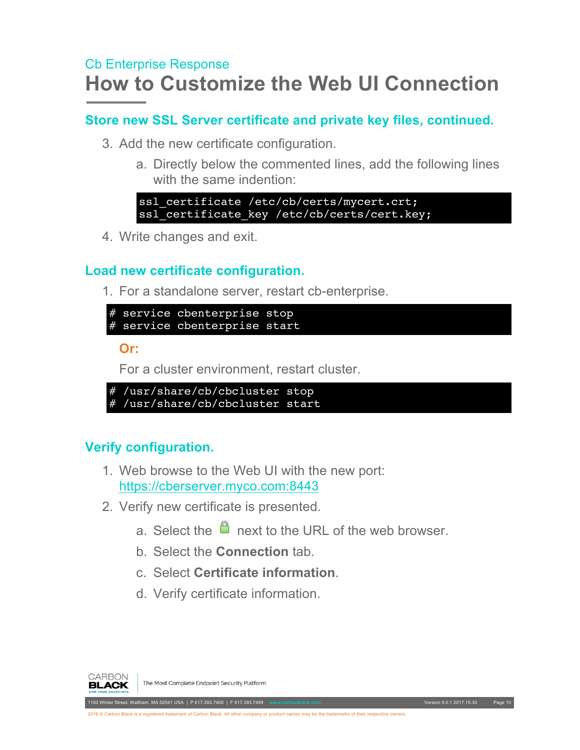#### <span id="page-9-0"></span>**Store new SSL Server certificate and private key files, continued.**

- 3. Add the new certificate configuration.
	- a. Directly below the commented lines, add the following lines with the same indention:

ssl certificate /etc/cb/certs/mycert.crt; ssl\_certificate\_key /etc/cb/certs/cert.key;

4. Write changes and exit.

#### <span id="page-9-1"></span>**Load new certificate configuration.**

1. For a standalone server, restart cb-enterprise.

# service cbenterprise stop # service cbenterprise start

**Or:**

For a cluster environment, restart cluster.

```
# /usr/share/cb/cbcluster stop
# /usr/share/cb/cbcluster start
```
#### <span id="page-9-2"></span>**Verify configuration.**

- 1. Web browse to the Web UI with the new port: <https://cberserver.myco.com:8443>
- 2. Verify new certificate is presented.
	- a. Select the  $\mathbf{a}$  next to the URL of the web browser.
	- b. Select the **Connection** tab.
	- c. Select **Certificate information**.
	- d. Verify certificate information.



The Most Complete Endpoint Security Platform